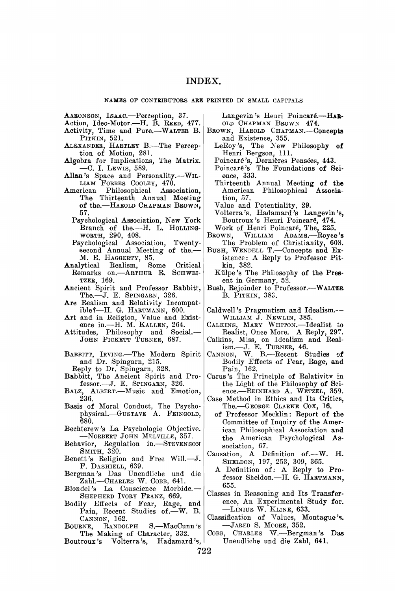**AABONSON, ISAAC.—Perception, 37.** 

- **Action, Ideo-Motor.—H. B. REED, 477.**
- **Activity, Time and Pure.—WALTER B.**
- **PITKIN , 521. ALEXANDER , HARTLE <sup>Y</sup> B.—The Percep-tion of Motion, 281.**
- **Algebra for Implications, The Matrix. — C . I. LEWIS , 589.**
- Allan's Space and Personality.--WIL-**LIAM FORBES COOLEY, 470.**
- **American Philosophical Association, The Thirteenth Annual Meeting**  of the.-HAROLD CHAPMAN BROWN, **57.** 
	- **Psychological Association, New York**  Branch of the.-H. L. HOLLING-**WORTH, 290, 408.**
	- **Psychological Association, Twentysecond Annual Meeting of the.— M. E. HAGGERTY, 85.**
- **Analytical Realism, Some Critical Remarks on.—ARTHUR R. SCHWEI-TZER, 169.**
- **Ancient Spirit and Professor Babbitt, The.—J. E. SPINGARN, 326.**
- **Are Realism and Relativity Incompatible?—H. G. HARTMANN , 600.**
- **Art and in Religion, Value and Existence in.—H. M . KALLEN , 264.**
- **Attitudes, Philosophy and Social.— JOH N PICKETT TURNER, 687.**
- **BABBITT, IRVING.—The Modern Spirit and Dr. Spingarn, 215.**
- **Reply to Dr. Spingarn, 328.**
- **Babbitt, The Ancient Spirit and Professor.—J. E. SPINGARN, 326.**
- **BALZ , ALBERT.—Music and Emotion, 236.**
- **Basis of Moral Conduct, The Psychophysical. GUSTAV <sup>E</sup> A . FEINGOLD, 680.**
- **Bechterew^s La Psychologie Objective. —NoRBERT JOH N MELVILLE, 357.**
- **Behavior, Regulation in.—STEVENSON SMITH, 320.**
- **Benett's Religion and Free Will.—J.**
- **<sup>F</sup> . DASHIELL, 639. Bergman's Das Unendliche und die Zahl.—CHARLES W. COBB, 641. BlondePs La Conscience Morbide.—**
- SHEPHERD IVORY FRANZ, 669.
- **Bodily Effects of Fear, Rage, and**  Pain, Recent Studies of.<sup>-W. B.</sup> **CANNON , 162.**
- **BOURNE, RANDOLPH S.—MacCunn ^s The Making of Character, 332.**
- **Boutroux's Volterra's, Hadamard's,**

Langevin's Henri Poincaré.-HAR-OLD CHAPMAN BROWN 474.

- BROWN, HAROLD CHAPMAN.—Concepts and Existence, 355.<br>
LeRoy's, The New Philosophy of Henri Bergson, 111.
	-
	- Poincaré's, Dernières Pensées, 443.
	- Poincaré's The Foundations of Sci**ence, 333.**
	- **Thirteenth Annual Meeting of the American Philosophical Association, 57.**
	- **Value and Potentiality, 29.**
	- **Volterra's. Hadamard's Langevin's, Boutroux's Henri Poincar6, 474.**
- Work of Henri Poincaré, The, 225.<br>BROWN, WILLIAM ADAMS.-Royce **BROWN, WILLIAM ADAMS.—Royce's**
- **The Problem of Christianity, 608.**
- **BUSH , WENDELL T.—Concepts and Existence; A Reply to Professor Pitkin, 382.**
- **Kulpe's The Philosophy of the Present in Germany, 52.**
- **Bush, Rejoinder to Professor.—WALTER B. PITKIN , 383.**
- Caldwell's Pragmatism and Idealism.--**WILLIAM J . NEWLIN , 385.**
- **CALKINS , MAR Y WHITON.—Idealist to Realist, Once More. A Reply, 29T.**
- Calkins, Miss, on Idealism and Real-
- **ism.—J. E. TURNER, 46. CANNON, W. B.—Recent Studies of Bodily Effects of Festr, Rage, and Pain, 162.**
- **Carus's The Principle of Relativitv in the Light of the Philosophy of Science.—REINHARD A . WETZEL , 359.**
- **Case Method in Ethics and Its Critics, The.—GEORGE CLARKE COX, 16.** 
	- **of Professor Mecklin: Report of the Committee of Inquiry of the American Philosophical Association and the American Psychological Association, 67.**
- Causation, A Definition of.-W. H.
	- **SHELDON, 197, 253, 309, 365. A Definition of : A Reply to Professor Sheldon.—H. G. HARTMANN , 655.**
- **Classes in Reasoning and Its Transference, An Experimental Study for. —LINIU S W. KLINE , 633.**
- **Classification of Values, Montague's. —JARE D S. MOORE, 352.**
- **COBB, CHARLES W.—Bergman's Das Unendliche und die Zahl, 641.**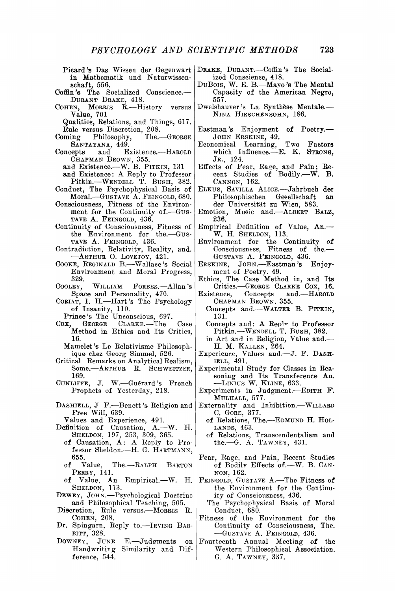- **Pieard's Das Wissen der Gegenwart in Mathematik und Naturwissensehaft, 556.**
- **Coffin's The Socialized Conscience.— DuRANT DRAKE, 418.**
- **COHEN , MORRIS R.—History versus Value, 701** 
	- **Qualities, Relations, and Things, 617. Rule versus Discretion, 208.**
- **Coming Philosophy, The.—GEORGE SANTAYANA , 449.**
- **Concepts and Existence.—HAROLD CHAPMA N BROWN, 355. and Existence.—W. B. PITKIN, 131** 
	-
- **and Existence: A Reply to Professor Pitkin.—WENDELL T. BUSH , 382.**
- **Conduct, The Psychophysical Basis of Moral.—GUSTAVE A. FEINGOLD, 680.**
- **Consciousness, Fitness of the Environment for the Continuity of.—GUS-TAVE A. FEINGOLD, 436.**
- **Continuity of Consciousness, Fitness of the Environment for the.—GUS-TAVE A. FEINGOLD, 436.**
- **Contradiction, Relativity, Reality, and. —ARTHUR O. LOVEJOY, 421.**
- **COOKE, REGINALD B.—Wallace's Social Environment and Moral Progress, 329.**
- **CooLEY, WILLIAM FORBES.—Allan's Space and Personality, 470.**
- **CORIAT, I. H.—Hart's The Psychology of Insanity, 110.**
- 
- Prince's The Unconscious, 697.<br>Cox. GEORGE CLARKE.-The **Cox, GEORGE CLARKE.—The Case Method in Ethics and Its Critics, 16.** 
	- **Mamelet's Le Relativisme Philosophique chez Georg Simmel, 526.**
- **Critical Remarks on Analytical Realism, Some.—ARTHUR R. SCHWEITZER, 169.**
- **CuNLiFFE, J. W.—Guerard's French Prophets of Yesterday, 218.**
- **DASHIELL, J F.—Benett's Religion and Free Will, 639.**
- **Values and Experience, 491.**
- **Definition of Causation, A.—W. H. SHELDON, 197, 253, 309, 365.** 
	- **of Causation, A: A Reply to Professor Sheldon.—H. G. HARTMANN , 655.**
	- **of Value, The.—RALPH BARTON PERRY, 141.**
	- **of Value, An Empirical.—W. H. SHELDON, 113.**
- **DEWEY , JOHN.—Psychological Doctrine and Philosophical Teaching, 505.**
- **Discretion, Rule versus.—MORRIS R. COHEN , 208.**
- **Dr. Spingarn, Reply to.—IRVING BAB-BITT, 328.**
- **DOWNEY , JUN <sup>E</sup> E.—Judonments on Handwriting Similarity and Difference, 544.**
- **DRAKE, DURANT.—Coffin's The Socialized Conscience, 418.**
- **DUBOIS, W. E . B.—Mayo's The Mental Capacity of the American Negro, 557.**
- Dwelshauver's La Synthèse Mentale.-**NIN A HIRSCHENSOHN, 186.**
- **Eastman's Enjoyment of Poetry.— JOH N ERSKINE, 49.**
- **Economical Learning, Two Factors which Influence.—E. K . STRONG, JR., 124.**
- **Effects of Fear, Raee, and Pain; Re-cent Studies of Bodily.—W. B. CANNON, 162.**
- **ELKUS , SAVILLA ALICE.—Jahrbuch der**  Philosophischen Gesellschaft **der Universitat zu Wien, 583.**
- **Emotion, Music and.—ALBERT BALZ , 236.**
- **Empirical Definition of Value, An.— W. H . SHELDON, 113.**
- **Environment for the Continuity of Consciousness, Fitness of the.— GUSTAVE A. FEINGOLD, 436.**
- **ERSKINE, JOHN.—Eastman's Enjoyment of Poetry. 49.**
- **Ethics, The Case Method in, and Its**
- Critics.—GEORGE CLARKE COX, 16.<br>Existence. Concepts and.—HAROLD **Existence, Concepts and.—HAROLD**  CHAPMAN BROWN, 355.
	- **Concepts and.—WALTER B. PITKIN, 131.**
	- **Concepts and: A Repl^ to Professor Pitkin.—WENDELL T. BUSH , 382.**
	- **in Art and in Religion, Value and.— H . M . KALLEN , 264.**
- **Experience, Values and.—J. F . DASH - IELL, 491.**
- **Experimental Study for Classes in Reasoning and Its Transference An. —LINIU S W. KLINE , 633.**
- **Experiments in Judgment.—EDITH F . MULHALL , 577.**
- **Externality and Inhibition.—WILLARD C. GORE, 377.** 
	- **of Relations, The.—EDMUND H . HOL-LANDS, 463.**
	- **of Relations, Transcendentalism and the.—G. A. TAWNEY , 431.**
- **Fear, Rage, and Pain, Recent Studies of Bodilv Effects of.—W. B. CAN-NON, 162.**
- **FEINGOLD, GUSTAVE A.—The Fitness of the Environment for the Continuity of Consciousness, 436.**
- **The Psychophysical Basis of Moral Conduct, 680.**
- **Fitness of the Environment for the Continuity of Consciousness, The.**   $-$ GUSTAVE A. FEINGOLD, 436.
- **Fourteenth Annual Meeting of the Western Philosophical Association. G. A. TAWNEY , 337.**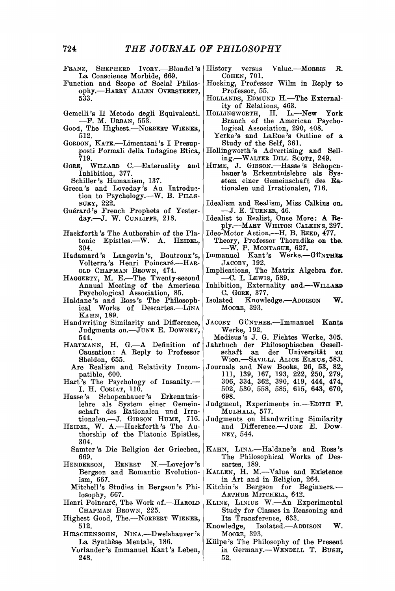- **PRANZ, SHEPHERD IVORY.—Blondel's La Conscience Morbide, 669.**
- **Function and Scope of Social Philosophy.** HARRY ALLEN OVERSTREET, **533.**
- Gemelli's Il Metodo degli Equivalenti. **— F. M. URBAN , 553.**
- **Good, The Highest.—NORBERT WIENER, 512.**
- GORDON, KATE.-Limentani's I Presup**posti Formali della Indagine Etica, 719.**
- **GORE, WILLARD C.—Externality and Inhibition, 377.** 
	- **Schiller's Humanism, 137.**
- **Green's and Loveday's An Introduction to Psychology.—^W. B. PILLS - BURY, 222.**
- **Guerard's French Prophets of Yesterday.—J. W. CUNLIFFE, 218.**
- **Hackforth's The Authorshio of the Platonic Epistles.—^W. A. HEIDEL, 304.**
- **Hadamard's Langevin's, Boutroux's, Volterra's Henri Poincar6.—HAR-**OLD CHAPMAN BROWN, 474.
- HAGGERTY, M. E.-The Twenty-second **Annual Meeting of the American Psychological Association, 85.**
- **Haldane's and Boss's The Philosophical Works of Descartes.—LINA KAHN , 189.**
- **Handwriting Similarity and Difference, Judgments on.—JUNE E . DOWNEY , 544.**
- **HARTMANN , H . G.—A Definition of Causation: A Reply to Professor Sheldon, 655.**
- **Are Realism and Relativity Incompatible, 600.**
- **Hart's The Psychology of Insanity.— I. H. CORIAT, 110.**
- Schopenhauer's Erkenntnis**lehre als System einer Gemeinschaft des Rationalen und Irrationalen.—J. GIBSON HUME , 716.**
- **HEIDEL, W. A.—Hackforth'S The Authorship of the Platonic Epistles, 304.**
- **Samter's Die Religion der Griechen, 669.**
- **HERNEST N.**—Lovejov's **Bergson and Romantic Evolutionism, 667.** 
	- **Mitchell's Studies in Bergson's Philosophy, 667.**
- **Henri Poincar^, The Work of.—HAROLD**  CHAPMAN BROWN, 225.
- **Highest Good, The.—NORBERT WIENER, 512.**
- **HIRSCHENSOHN , NINA.—^Dwelshauver's**  La Synthèse Mentale, 186.
	- **Vorlander's Immanuel Kant's Leben, 248.**
- versus Value.—MORRIS R. **COHEN , 701.**
- **Hocking, Professor Wilm in Reply to Professor, 55.**
- HOLLANDS, EDMUND H.-The External**ity of Relations, 463.**
- **HOLLINGWORTH, H . L.—New York Branch of the American Psychological Association, 290, 408.**
- **Yerke's and Laltue's Outline of a Study of the Self, 361.**
- **Hollingworth's Advertising and Selling.—^WALTER DILL SCOTT, 249.**
- **HUME , J . GIBSON.—Hasse's Schopenhauer's Erkenntnislehre als Sysetem einer Gemeinschaft des Bationalen und Irrationalen, 716.**
- Idealism and Realism, Miss Calkins on. **— J . E . TURNER, 46.**
- **Idealist to Realist, Once More: A Reply.—MARY WHITON CALKINS , 297.**
- **Ideo-Motor Action.—H. B. REED, 477. Theory, Professor Thorndike on the. — W . P. MONTAGUE, 627. Immanuel Kant's Werke.—GtJNTHER**
- **JACOBY, 192.**
- Implications, The Matrix Algebra for. **C. I. LEWIS , 589.**
- **Inhibition, Externality and.—WILLAED C. GORE, 377.**
- Isolated Knowledge.--ADDISON W. **MOORE, 393.**
- JACOBY GÜNTHER.-Immanuel Kants **Werke, 192.**
- **Medicus's J. G. Fiehtes Werke, 305. Jahrbuch der Philosophischen Gesellschaft an der Universitat zu**
- Wien. SAVILLA ALICE ELKUS, 583. **Journals and New Books, 26, 53, 82, 111, 139, 167, 193, 222, 250, 279, 306, 334, 362, 390, 419, 444, 474, 502, 530, 558, 585, 615, 643, 670,**
- **698. Judgment, Experiments in.—EDITH F . MULHALL , 577.**
- **Judgments on Handwriting Similarity**  and Difference.-JUNE E. Dow-**NEY , 544.**
- **KAHN , LINA.—Haldane's and Ross's The Philosophical Works of Descartes, 189.**
- **KALLEN , H . M.—A^alue and Existence in Art and in Religion, 264.**
- **Kitchin's Bergson for Beginners.—**  ARTHUR MITCHELL, 642.
- **KLINE , LINIUS W.—An Experimental**  Study for Classes in Reasoning and **Its Transference, 633.**
- Isolated.—ADDISON W. **MOORE, 393.**
- **Kulpe's The Philosophy of the Present**  in Germany.--WENDELL T. BUSH, **52.**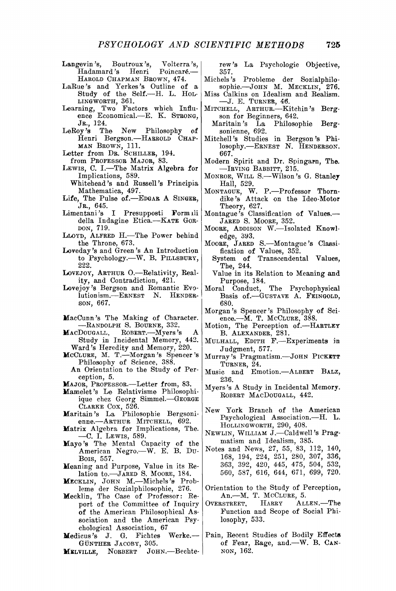- **Langevin's, Boutroux's, Volterra's, Hadamard's Henri Poincar^.—**  HAROLD CHAPMAN BROWN, 474.
- **LaRue's and Yerkes's Outline of a Study of the Self.—H. L. HOL-LINGWORTH, 361.**
- **Learning, Two Factors which Influence Economical.—E. K . STRONG, JR., 124.**
- **LeRoy's The New Philosophy of**  Henri Bergson.-HARROLD<sup></sup> CHAP-
- **M A N BROWN, 111. Letter from DR. SCHILLER, 194.**
- **from PROFESSOR MAJOR, 83.**
- **LEWIS , C. I.—The Matrix Algebra for Implications, 589.**
- **Whitehead's and Russell's Principia Mathematica, 497.**
- **Life, The Pulse of.—EDGAR A SINGER, JR., 645.**
- **Limentani's I Presupposti Formili della Indagine Etica.—KATE GOR-DON, 719.**
- LLOYD, ALFRED H.-The Power behind **the Throne, 673.**
- **Loveday's and Green's An Introduction to Psychology.—W. B. PILLSBURY, 222.**
- LOVEJOY, ARTHUR O.-Relativity, Real**ity, and Contradiction, 421.**
- **Lovejoy's Bergson and Romantic Evolution ism.—ERNEST N . HENDER-SON, 667.**
- **MacCunn's The Making of Character. —RANDOLP H S. BOURNE, 332.**
- **MACDOUGALL, ROBERT.—Myers's Study in Incidental Memory, 442. Ward's Heredity and Memory, 220.**
- **MCCLURE , M . T.—Morgan's Spencer's Philosophy of Science, 388.**
- **An Orientation to the Study of Perception, 5.**
- **MAJOR , PROFESSOR.—Letter from, 83.**
- **Mamelet's Le Relativisme Philosophiique chez Georg Simmel.—GEORGE**
- **CLARKE COX, 526. Maritain's La Philosophie Bergsoni-**
- **enne.—ARTHUR MITCHELL, 692. Matrix Algebra for Implications, The. — C . I. LEWIS , 589.**
- **Kayo's The Mental Capacity of the American Negro.—W. E. B. DU - BOIS, 557.**
- **Meaning and Purpose, Value in its Relation to.—JARED S. MOORE, 184.**
- **MECKLIN , JOH <sup>N</sup> M.—Michels's Probleme der Sozialphilosophie, 276.**
- **Mecklin, The Case of Professor: Report of the Committee of Inquiry of the American Philosophical Association and the American Psychological Association, 67**
- **Medicus's J . G. Fiehtes Werke.— GtJNTHER JACOBY, 305.**
- **MELVILLE , NORBERT JOHN.—Bechte-**

**rew's La Psychologic Objective, 357.** 

- **Michels's Probleme der Sozialphilo**sophie.--JOHN M. MECKLIN, 276.
- **Miss Calkins on Idealism and Realism. — J . E . TURNER, 46.**
- **MITCHELL, ARTHUR.—Kitchin's Bergson for Beginners, 642.** 
	- **Maritain's La Philosophie Bergsonienne, 692.**
- **Mitchell's Studies in Bergson's Phi**losophy.-ERNEST N. HENDERSON. **667.**
- **Modern Spirit and Dr. Spingarn, The. —IRVING BABBITT, 215.**
- **MONROE, WILL S.—Wilson's G. Stanley Hall, 529.**
- **MONTAGUE, W. P.—Professor Thorndike's Attack on the Ideo-Motor Theory, 627. Montague's Classification of Values.—**
- **JARED S. MOORE, 352.**
- **MOORE, ADDISON W.—Isolated Knowledge, 393.**
- **MOORE, JARED S.—Montague's Classification of Values, 352. System of Transcendental Values,** 
	- **The, 244.**
	- **Value in its Relation to Meaning and Purpose, 184.**
- **Moral Conduct, The Psychophysical Basis of.—GUSTAVE A . FEINGOLD, 680.**
- **Morgan's Spencer's Philosophy of Science.—M. T. MCCLURE, 388.**
- **Motion, The Perception of.—HARTLE <sup>Y</sup> B. ALEXANDER , 281.**
- **MULHALL , EDITH F.—Experiments in Judgment, 577.**
- **Murray's Pragmatism.—JOHN PICKETT TURNER, 24.**
- **Music and Emotion.—ALBERT BALZ , 236.**
- **Myers's A Study in Incidental Memory. ROBERT MACDOUGALL, 442.**
- **New York Branch of the American Psychological Association.—H. L. HOLLINGWORTH, 290, 408.**
- **NEWLIN , WILLIAM J.—Caldwell's Pragmatism and Idealism, 385.**
- **Notes and News, 27, 55, 83, 112, 140, 168, 194, 224, 251, 280, 307, 336, 363, 392, 420, 445, 475, 504, 532, 560, 587, 616, 644, 671, 699, 720.**
- **Orientation to the Study of Perception, An.—M. T. MCCLURE, 5.**
- **OVERSTREET, HARRY ALLEN.—The Function and Scope of Social Philosophy, 533.**
- **Pain, Recent Studies of Bodily Effects of Fear, Rage, and.—W. B. CAN - NON, 162.**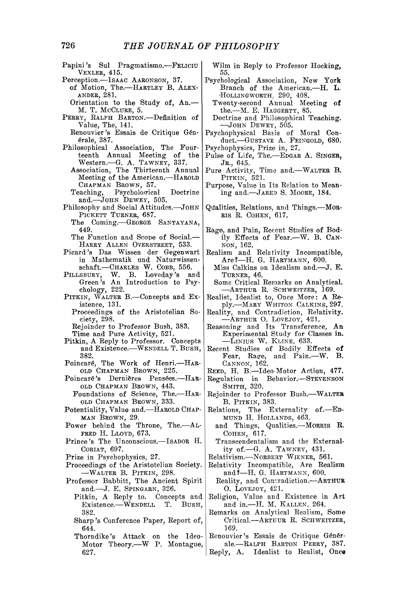- **Papini's Sul Pragmatismo.—FELICIU VEXLER , 415.**
- **Perception.—ISAAC AARONSON, 37.** 
	- **of Motion, The.—HARTLEY B. ALEX - ANDER, 281. Orientation to the Study of. An.—**
	- **M. T. MCCLURE, 5.**
- PERRY, RALPH BARTON.—Definition of **Value, The, 141.**
- **Renouvier's Essais de Critique G6n-6rale, 387.**
- **Philosophical Association, The Fourteenth Annual Meeting of the Western.—G. A. TAWNEY , 337. Association, The Thirteenth Annual** 
	- **Meeting of the American.—HAROLD**  CHAPMAN BROWN, 57.
	- Teaching, Psychological Doctrine **and.—JOHN DEWEY , 505.**
- **Philosophy and Social Attitudes.—JOHN PICKETT TURNER, 687.** 
	- **The Coming.—GEORGE SANTAYANA , 449.**
	- **The Function and Scope of Social.—**  HARRY ALLEN OVERSTREET, 533.
- **Picard's Das Wissen der Gegenwart in Mathematik und Naturwissen-schaft.—CHARLES W. COBB, 556.**
- **PILLSBURY, W. B. Loveday's and Green's An Introduction to Psychology, 222.**
- PITKIN, WALTER B. Concepts and Ex**istence, 131.** 
	- **Proceedings of the Aristotelian Society, 298.**
	- **Rejoinder to Professor Bush, 383.**
	- **Time and Pure Activity, 521.**
- Pitkin, A Reply to Professor. Concepts **and Existence.—^WENDELL T. BUSH , 382.**
- Poincaré, The Work of Henri.-HAR-OLD CHAPMAN BROWN, 225.
- Poincaré's Dernières Pensées.-HAR-OLD CHAPMAN BROWN, 443.
- Foundations of Science, The.--HAR-<br>
OLD CHAPMAN BROWN, 333.
- **Potentiality, Value and.—HAROLD CHAP-MAN BROWN, 29.**
- **Power behind the Throne, The.—AL-FRED H. LLOYD , 673.**
- **Prince's The Unconscious.—ISADOR H. CORIAT, 697.**
- **Prize in Psychophysics, 27.**
- **Proceedings of the Aristotelian Society. —WALTE R B. PITKIN, 298.**
- **Professor Babbitt, The Ancient Spirit and.—J. E. SPINGARN, 326.** 
	- Pitkin, A Reply to. Concepts and Existence.—WENDELL T. BUSH,  $Existence.$ *WENDELL* **382.**
	- **Sharp's Conference Paper, Report of, 644.**
	- **Thorndike's Attack on the Ideo-Motor Theory.—^W P. Montague, 627.**

**Wilm in Reply to Professor Hocking, 55.** 

- **Psychological Association, New York Branch of the American.—H. L. 'HOLLINGWORTH,, 290, 408.** 
	- **Twenty-second Annual Meeting of the.—M. E . HAGGERTY, 85.**
	- **Doctrine and Philosophical Teaching. —JOH N DEWEY , 505.**
- **Psychophysical Basis of Moral Con**duct.-GUSTAVE A. FEINGOLD, 680.
- **Psychophysics, Prize in, 27.**
- **Pulse of Life, The.—EDGAR A . SINGER, JR., 645.**
- **Pure Activity,** *Time* **and.—WALTER B. PITKIN, '521.**
- **Purpose, Value in Its Relation to Meaning and.—JARED S. MOORE, 184.**
- **Qilalities, Relations, and Things.—MOR-RIS R. COHEN, 617.**
- **Rage, and Pain, Recent Studies of Bodily Effects of Fear.—W. B. CAN - NON, 162,**
- Realism and Relativity Incompatible, Are?-H. G. HARTMANN, 600.
- **Miss Calkins on Idealism and.—J. E . TURNER, 46.**
- **Some Critical Remarks on Analytical. —^ARTHUR R. SCHWEITZER, 169.**
- **Realist, Idealist to, Once More: A Reply.—MARY WHITON CALKINS , 297.**
- Reality, and Contradiction, Relativity.<br>
—ARTHUR O. LOVEJOY, 421.<br>
Reasoning and Its Transference, An
- **Experimental Study for Classes in. —LINIU S W. KLINE , 633.**
- **Recent Studies of Bodily Effects of Fear, Rage, and Pain.—W. B. CANNON, 162.**
- **REED, H . B.—Ideo Motor Action, 477.**
- **Regulation in Behavior.—STEVENSON SMITH, 320.**
- **Rejoinder to Professor Bush.—^WALTER B. PITKIN , 383,,**
- **Relations, The Externality of.—ED-MUN D H . HOLLA.NDS, 463.** 
	- **and Things, Qualities.—MORRIS R. COHEN , 617.**
	- **Transcendentalism and the Externality of.—G. A . TAWNEY , 431.**
- **Relativism.—NORBERT WIENER, 561.**
- **Relativity Incompatible, Are Realism and?—H. G. HARTMANN , 600.**
- **Reality, and Contradiction.—ARTHUR O.** LOVEJOY, 421.
- **Religion, Value and Existence in Art and in.—H. M. KALLEN , 264.**
- **Remarks on Analylical Realism, Some Critical.—ARTHUR R. SCHWEITZER, 169.**
- **Renouvier's Essais de Critique G6n6rale.—RALPH BARTON PERRY, 387.**
- **Reply, A. Idealist to Realist, Once**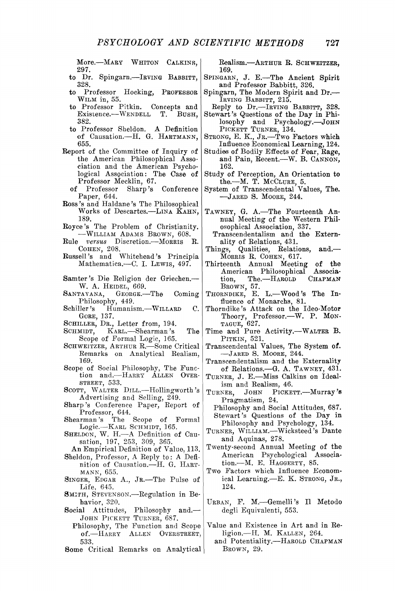**More.—MARY WHITON CALKINS, 297.** 

- **to Dr. Spingarn.—IRVING BABBITT, 328.**
- **to Professor Hocking, PROFESSOR WIL M in, 55.**
- **to Professor Pitkin. Concepts and Existence.—WENDELL T. BUSH , 382.**
- **to Professor Sheldon. A Definition of Causation.—H. G. HARTMANN , 655.**
- **Report of the Committee of Inquiry of the American Philosophical Association and the American Psychological Association: The Case of Professor Mecklin, 67.** 
	- **of Professor Sharp's Conference Paper, 644.**
- **Ross's and Haldane's The Philosophical Works of Descartes.—LINA KAHN , 189.**
- **Royce's The Problem of Christianity.**   $-WILLIAM$  ADAMS BROWN, 608.
- **Rule** *versus* **Discretion.—MORRIS R. COHEN , 208.**
- **Russell's and Whitehead's Principia Mathematica.—C. 1. LEWIS , 497.**
- **Samter's Die Religion der Griechen.— W. A . HEIDEL, 669.**
- **SANTAYANA , GEORGE.—The Coming**  Philosophy, 449.<br> **Schiller's** Humanis
- Humanism.—WILLARD C. **GORE, 137.**
- **SCHILLER, DR., Letter from, 194.**
- **SCHMIDT, KARL.—Shearman's The Scope of Formal Logic, 165.**
- SCHWEITZER, ARTHUR R.-Some Critical **Remarks on Analytical Realism, 169.**
- **Scope of Social Philosophy, The Func**tion and.-HARRY<sup>-</sup> ALLEN OVER-**STREET, 533.**
- SCOTT, WALTER DILL.—Hollingworth's **Advertising and Selling, 249.**
- **Sharp's Conference Paper, Report of Professor, 644.**
- **Shearman's The Scope of Formal Logic.—KARL SCHMIDT, 165.**
- **SHELDON, W, H.— A Definition of Causation, 197, 253, 309, 365.**
- **An Empirical Definition of Value, 113. Sheldon, Professor, A Reply to: A Defi-**
- **nition of Causation.—H. G. HART-MANN , 655.**
- **SINGER, EDGAR A. , JR.—The Pulse of Life, 645.**
- **SMITH , STEVENSON.—Regulation in Behavior, 320.**
- **Social Attitudes, Philosophy and.— JOH N PICKETT TURNER, 687.** 
	- **Philosophy, The Function and Scope of.** HARRY ALLEN OVERSTREET, **533.**
- **Some Critical Remarks on Analytical**

**Realism.—ARTHUR R. SCHWEITZER, 169.** 

- **SPINGARN, J . E.—The Ancient Spirit and Professor Babbitt, 326.**
- **Spingarn, The Modern Spirit and Dr.— IRVING BABBITT, 215.**
- **Reply to Dr.—IRVING BABBITT, 328. Stewart's Questions of the Day in Phi-**
- losophy and Psychology. John PICKETT TURNER, 134. **STRONG, E . K. , JR.—Two Factors which**
- **Influence Economical Learning, 124. Studies of Bodily Effects of Fear, Rage,**
- **and Pain, Recent.—W. B. CANNON, 162.**
- **Study of Perception, An Orientation to the.—M. T. MCCLURE, 5. System of Transcendental Values, The.**
- **—JARE D S. MOORE, 244.**
- **TAWNEY , G. A.—The Fourteenth Annual Meeting of the Western Philosophical Association, 337.**
- **Transcendentalism and the Externality of Relations, 431.**
- **Things, Qualities, Relations, and.—**
- **MORRIS R. COHEN, 617. Thirteenth Annual Meeting of the**  American Philosophical Associa-<br>tion, The.---HAROLD CHAPMAN  $The. — HAROLD$ **BROWN, 57.**
- THORNDIKE, E. L.-Wood's The In**fluence of Monarchs, 81.**
- **Thorndike's Attack on the Ideo-Motor Theory, Professor.—W. P. MON-TAGUE, 627. Time and Pure Activity.—WALTER B.**
- **PITKIN, 521.**
- **Transcendental Values, The System of. —JARE D S. MOORE, 244.**
- **Transcendentalism and the Externality of Relations.—G. A. TAWNEY , 431.**
- **TURNER, J . E.—Miss Calkins on Ideal-**
- ism and Realism, 46.<br>TURNER, JOHN PICKE<sup>®</sup> PICKETT.—Murray's **Pragmatism, 24.**
- **Philosophy and Social Attitudes, 687. Stewart's Questions of the Day in Philosophy and Psychology, 134.**
- **TURNER, WILLIAM.—Wicksteed's Dante and Aquinas, 278.**
- **Twenty-second Annual Meeting of the American Psychological Association.—M. E. HAGGERTY, 85.**
- **Two Factors which Influence Economical Learning.—E. K . STRONG, JR., 124.**
- **URBAN, F . M.—Gemelli's H Metodo degli Equivalenti, 553.**
- **Value and Existence in Art and in Religion.—H. M. KALLEN , 264.** 
	- and Potentiality.-HAROLD CHAPMAN **BROWN, 29.**